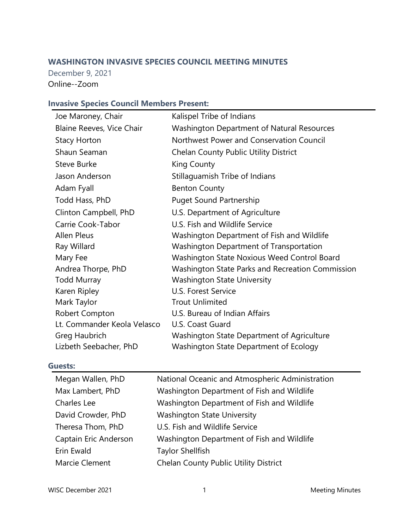# **WASHINGTON INVASIVE SPECIES COUNCIL MEETING MINUTES**

December 9, 2021 Online--Zoom

## **Invasive Species Council Members Present:**

| Joe Maroney, Chair          | Kalispel Tribe of Indians                         |
|-----------------------------|---------------------------------------------------|
| Blaine Reeves, Vice Chair   | <b>Washington Department of Natural Resources</b> |
| <b>Stacy Horton</b>         | Northwest Power and Conservation Council          |
| Shaun Seaman                | <b>Chelan County Public Utility District</b>      |
| <b>Steve Burke</b>          | King County                                       |
| Jason Anderson              | Stillaguamish Tribe of Indians                    |
| Adam Fyall                  | <b>Benton County</b>                              |
| Todd Hass, PhD              | <b>Puget Sound Partnership</b>                    |
| Clinton Campbell, PhD       | U.S. Department of Agriculture                    |
| Carrie Cook-Tabor           | U.S. Fish and Wildlife Service                    |
| <b>Allen Pleus</b>          | Washington Department of Fish and Wildlife        |
| Ray Willard                 | <b>Washington Department of Transportation</b>    |
| Mary Fee                    | Washington State Noxious Weed Control Board       |
| Andrea Thorpe, PhD          | Washington State Parks and Recreation Commission  |
| <b>Todd Murray</b>          | <b>Washington State University</b>                |
| Karen Ripley                | U.S. Forest Service                               |
| Mark Taylor                 | <b>Trout Unlimited</b>                            |
| Robert Compton              | U.S. Bureau of Indian Affairs                     |
| Lt. Commander Keola Velasco | U.S. Coast Guard                                  |
| Greg Haubrich               | Washington State Department of Agriculture        |
| Lizbeth Seebacher, PhD      | Washington State Department of Ecology            |

### **Guests:**

| Megan Wallen, PhD     | National Oceanic and Atmospheric Administration |
|-----------------------|-------------------------------------------------|
| Max Lambert, PhD      | Washington Department of Fish and Wildlife      |
| Charles Lee           | Washington Department of Fish and Wildlife      |
| David Crowder, PhD    | <b>Washington State University</b>              |
| Theresa Thom, PhD     | U.S. Fish and Wildlife Service                  |
| Captain Eric Anderson | Washington Department of Fish and Wildlife      |
| Erin Ewald            | <b>Taylor Shellfish</b>                         |
| Marcie Clement        | Chelan County Public Utility District           |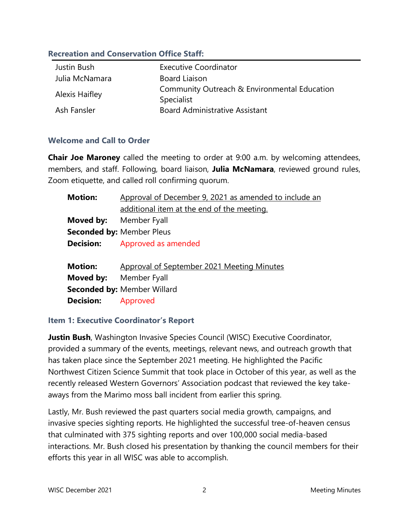### **Recreation and Conservation Office Staff:**

| Justin Bush           | <b>Executive Coordinator</b>                               |
|-----------------------|------------------------------------------------------------|
| Julia McNamara        | <b>Board Liaison</b>                                       |
| <b>Alexis Haifley</b> | Community Outreach & Environmental Education<br>Specialist |
| Ash Fansler           | <b>Board Administrative Assistant</b>                      |

### **Welcome and Call to Order**

**Chair Joe Maroney** called the meeting to order at 9:00 a.m. by welcoming attendees, members, and staff. Following, board liaison, **Julia McNamara**, reviewed ground rules, Zoom etiquette, and called roll confirming quorum.

| <b>Motion:</b>                | Approval of December 9, 2021 as amended to include an |
|-------------------------------|-------------------------------------------------------|
|                               | additional item at the end of the meeting.            |
| Moved by:                     | Member Fyall                                          |
|                               | <b>Seconded by: Member Pleus</b>                      |
| <b>Decision:</b>              | Approved as amended                                   |
|                               |                                                       |
| <b>Motion:</b>                | Approval of September 2021 Meeting Minutes            |
| <b>Moved by:</b> Member Fyall |                                                       |
|                               | <b>Seconded by: Member Willard</b>                    |
| <b>Decision:</b>              | Approved                                              |

### **Item 1: Executive Coordinator's Report**

**Justin Bush**, Washington Invasive Species Council (WISC) Executive Coordinator, provided a summary of the events, meetings, relevant news, and outreach growth that has taken place since the September 2021 meeting. He highlighted the Pacific Northwest Citizen Science Summit that took place in October of this year, as well as the recently released Western Governors' Association podcast that reviewed the key takeaways from the Marimo moss ball incident from earlier this spring.

Lastly, Mr. Bush reviewed the past quarters social media growth, campaigns, and invasive species sighting reports. He highlighted the successful tree-of-heaven census that culminated with 375 sighting reports and over 100,000 social media-based interactions. Mr. Bush closed his presentation by thanking the council members for their efforts this year in all WISC was able to accomplish.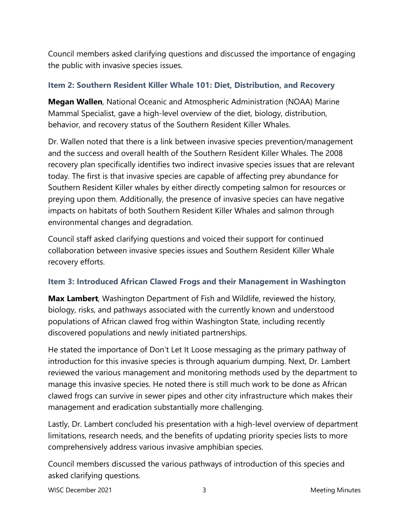Council members asked clarifying questions and discussed the importance of engaging the public with invasive species issues.

## **Item 2: Southern Resident Killer Whale 101: Diet, Distribution, and Recovery**

**Megan Wallen**, National Oceanic and Atmospheric Administration (NOAA) Marine Mammal Specialist, gave a high-level overview of the diet, biology, distribution, behavior, and recovery status of the Southern Resident Killer Whales.

Dr. Wallen noted that there is a link between invasive species prevention/management and the success and overall health of the Southern Resident Killer Whales. The 2008 recovery plan specifically identifies two indirect invasive species issues that are relevant today. The first is that invasive species are capable of affecting prey abundance for Southern Resident Killer whales by either directly competing salmon for resources or preying upon them. Additionally, the presence of invasive species can have negative impacts on habitats of both Southern Resident Killer Whales and salmon through environmental changes and degradation.

Council staff asked clarifying questions and voiced their support for continued collaboration between invasive species issues and Southern Resident Killer Whale recovery efforts.

## **Item 3: Introduced African Clawed Frogs and their Management in Washington**

**Max Lambert**, Washington Department of Fish and Wildlife, reviewed the history, biology, risks, and pathways associated with the currently known and understood populations of African clawed frog within Washington State, including recently discovered populations and newly initiated partnerships.

He stated the importance of Don't Let It Loose messaging as the primary pathway of introduction for this invasive species is through aquarium dumping. Next, Dr. Lambert reviewed the various management and monitoring methods used by the department to manage this invasive species. He noted there is still much work to be done as African clawed frogs can survive in sewer pipes and other city infrastructure which makes their management and eradication substantially more challenging.

Lastly, Dr. Lambert concluded his presentation with a high-level overview of department limitations, research needs, and the benefits of updating priority species lists to more comprehensively address various invasive amphibian species.

Council members discussed the various pathways of introduction of this species and asked clarifying questions.

WISC December 2021 **3** Meeting Minutes **3** Meeting Minutes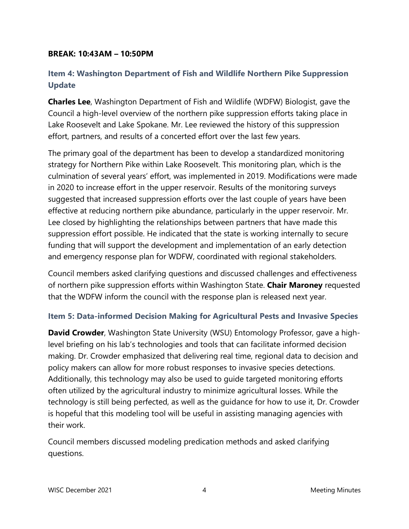### **BREAK: 10:43AM – 10:50PM**

# **Item 4: Washington Department of Fish and Wildlife Northern Pike Suppression Update**

**Charles Lee**, Washington Department of Fish and Wildlife (WDFW) Biologist, gave the Council a high-level overview of the northern pike suppression efforts taking place in Lake Roosevelt and Lake Spokane. Mr. Lee reviewed the history of this suppression effort, partners, and results of a concerted effort over the last few years.

The primary goal of the department has been to develop a standardized monitoring strategy for Northern Pike within Lake Roosevelt. This monitoring plan, which is the culmination of several years' effort, was implemented in 2019. Modifications were made in 2020 to increase effort in the upper reservoir. Results of the monitoring surveys suggested that increased suppression efforts over the last couple of years have been effective at reducing northern pike abundance, particularly in the upper reservoir. Mr. Lee closed by highlighting the relationships between partners that have made this suppression effort possible. He indicated that the state is working internally to secure funding that will support the development and implementation of an early detection and emergency response plan for WDFW, coordinated with regional stakeholders.

Council members asked clarifying questions and discussed challenges and effectiveness of northern pike suppression efforts within Washington State. **Chair Maroney** requested that the WDFW inform the council with the response plan is released next year.

## **Item 5: Data-informed Decision Making for Agricultural Pests and Invasive Species**

**David Crowder**, Washington State University (WSU) Entomology Professor, gave a highlevel briefing on his lab's technologies and tools that can facilitate informed decision making. Dr. Crowder emphasized that delivering real time, regional data to decision and policy makers can allow for more robust responses to invasive species detections. Additionally, this technology may also be used to guide targeted monitoring efforts often utilized by the agricultural industry to minimize agricultural losses. While the technology is still being perfected, as well as the guidance for how to use it, Dr. Crowder is hopeful that this modeling tool will be useful in assisting managing agencies with their work.

Council members discussed modeling predication methods and asked clarifying questions.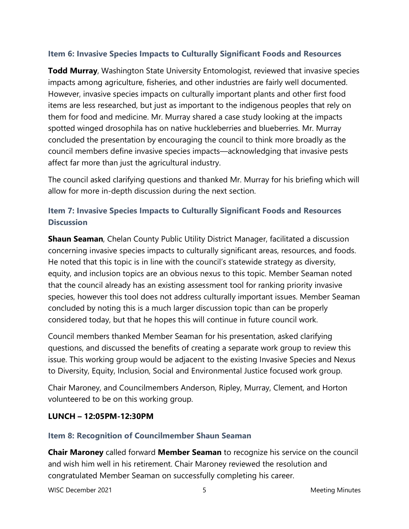## **Item 6: Invasive Species Impacts to Culturally Significant Foods and Resources**

**Todd Murray**, Washington State University Entomologist, reviewed that invasive species impacts among agriculture, fisheries, and other industries are fairly well documented. However, invasive species impacts on culturally important plants and other first food items are less researched, but just as important to the indigenous peoples that rely on them for food and medicine. Mr. Murray shared a case study looking at the impacts spotted winged drosophila has on native huckleberries and blueberries. Mr. Murray concluded the presentation by encouraging the council to think more broadly as the council members define invasive species impacts—acknowledging that invasive pests affect far more than just the agricultural industry.

The council asked clarifying questions and thanked Mr. Murray for his briefing which will allow for more in-depth discussion during the next section.

# **Item 7: Invasive Species Impacts to Culturally Significant Foods and Resources Discussion**

**Shaun Seaman**, Chelan County Public Utility District Manager, facilitated a discussion concerning invasive species impacts to culturally significant areas, resources, and foods. He noted that this topic is in line with the council's statewide strategy as diversity, equity, and inclusion topics are an obvious nexus to this topic. Member Seaman noted that the council already has an existing assessment tool for ranking priority invasive species, however this tool does not address culturally important issues. Member Seaman concluded by noting this is a much larger discussion topic than can be properly considered today, but that he hopes this will continue in future council work.

Council members thanked Member Seaman for his presentation, asked clarifying questions, and discussed the benefits of creating a separate work group to review this issue. This working group would be adjacent to the existing Invasive Species and Nexus to Diversity, Equity, Inclusion, Social and Environmental Justice focused work group.

Chair Maroney, and Councilmembers Anderson, Ripley, Murray, Clement, and Horton volunteered to be on this working group.

## **LUNCH – 12:05PM-12:30PM**

## **Item 8: Recognition of Councilmember Shaun Seaman**

**Chair Maroney** called forward **Member Seaman** to recognize his service on the council and wish him well in his retirement. Chair Maroney reviewed the resolution and congratulated Member Seaman on successfully completing his career.

WISC December 2021 **5** Meeting Minutes **Meeting Minutes**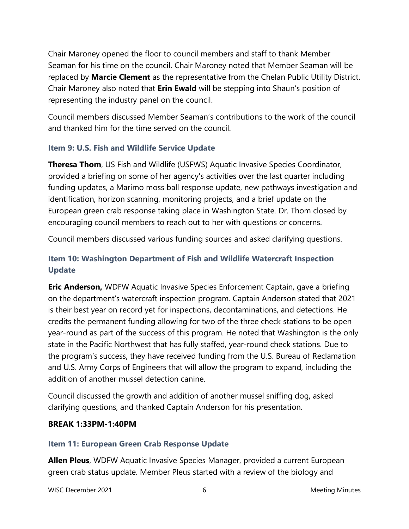Chair Maroney opened the floor to council members and staff to thank Member Seaman for his time on the council. Chair Maroney noted that Member Seaman will be replaced by **Marcie Clement** as the representative from the Chelan Public Utility District. Chair Maroney also noted that **Erin Ewald** will be stepping into Shaun's position of representing the industry panel on the council.

Council members discussed Member Seaman's contributions to the work of the council and thanked him for the time served on the council.

## **Item 9: U.S. Fish and Wildlife Service Update**

**Theresa Thom**, US Fish and Wildlife (USFWS) Aquatic Invasive Species Coordinator, provided a briefing on some of her agency's activities over the last quarter including funding updates, a Marimo moss ball response update, new pathways investigation and identification, horizon scanning, monitoring projects, and a brief update on the European green crab response taking place in Washington State. Dr. Thom closed by encouraging council members to reach out to her with questions or concerns.

Council members discussed various funding sources and asked clarifying questions.

# **Item 10: Washington Department of Fish and Wildlife Watercraft Inspection Update**

**Eric Anderson,** WDFW Aquatic Invasive Species Enforcement Captain, gave a briefing on the department's watercraft inspection program. Captain Anderson stated that 2021 is their best year on record yet for inspections, decontaminations, and detections. He credits the permanent funding allowing for two of the three check stations to be open year-round as part of the success of this program. He noted that Washington is the only state in the Pacific Northwest that has fully staffed, year-round check stations. Due to the program's success, they have received funding from the U.S. Bureau of Reclamation and U.S. Army Corps of Engineers that will allow the program to expand, including the addition of another mussel detection canine.

Council discussed the growth and addition of another mussel sniffing dog, asked clarifying questions, and thanked Captain Anderson for his presentation.

## **BREAK 1:33PM-1:40PM**

## **Item 11: European Green Crab Response Update**

**Allen Pleus**, WDFW Aquatic Invasive Species Manager, provided a current European green crab status update. Member Pleus started with a review of the biology and

WISC December 2021 **6** Meeting Minutes 6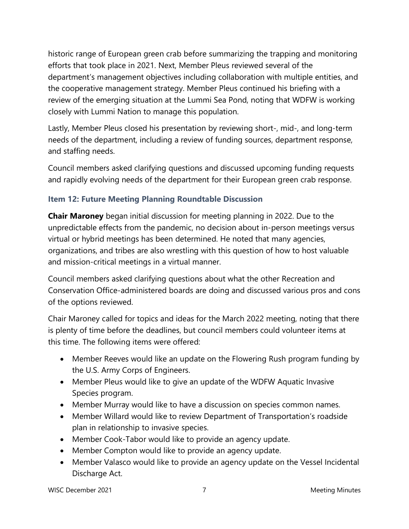historic range of European green crab before summarizing the trapping and monitoring efforts that took place in 2021. Next, Member Pleus reviewed several of the department's management objectives including collaboration with multiple entities, and the cooperative management strategy. Member Pleus continued his briefing with a review of the emerging situation at the Lummi Sea Pond, noting that WDFW is working closely with Lummi Nation to manage this population.

Lastly, Member Pleus closed his presentation by reviewing short-, mid-, and long-term needs of the department, including a review of funding sources, department response, and staffing needs.

Council members asked clarifying questions and discussed upcoming funding requests and rapidly evolving needs of the department for their European green crab response.

## **Item 12: Future Meeting Planning Roundtable Discussion**

**Chair Maroney** began initial discussion for meeting planning in 2022. Due to the unpredictable effects from the pandemic, no decision about in-person meetings versus virtual or hybrid meetings has been determined. He noted that many agencies, organizations, and tribes are also wrestling with this question of how to host valuable and mission-critical meetings in a virtual manner.

Council members asked clarifying questions about what the other Recreation and Conservation Office-administered boards are doing and discussed various pros and cons of the options reviewed.

Chair Maroney called for topics and ideas for the March 2022 meeting, noting that there is plenty of time before the deadlines, but council members could volunteer items at this time. The following items were offered:

- Member Reeves would like an update on the Flowering Rush program funding by the U.S. Army Corps of Engineers.
- Member Pleus would like to give an update of the WDFW Aquatic Invasive Species program.
- Member Murray would like to have a discussion on species common names.
- Member Willard would like to review Department of Transportation's roadside plan in relationship to invasive species.
- Member Cook-Tabor would like to provide an agency update.
- Member Compton would like to provide an agency update.
- Member Valasco would like to provide an agency update on the Vessel Incidental Discharge Act.